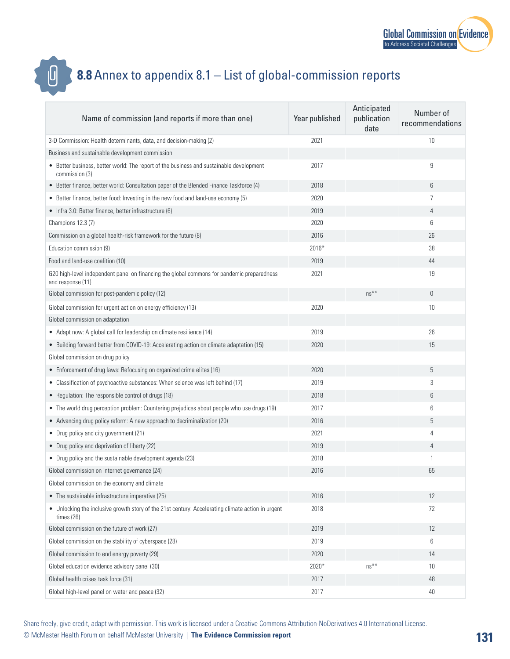



## **8.8** Annex to appendix 8.1 – List of global-commission reports

| Name of commission (and reports if more than one)                                                               | Year published | Anticipated<br>publication<br>date | Number of<br>recommendations |
|-----------------------------------------------------------------------------------------------------------------|----------------|------------------------------------|------------------------------|
| 3-D Commission: Health determinants, data, and decision-making (2)                                              | 2021           |                                    | 10                           |
| Business and sustainable development commission                                                                 |                |                                    |                              |
| • Better business, better world: The report of the business and sustainable development<br>commission (3)       | 2017           |                                    | 9                            |
| • Better finance, better world: Consultation paper of the Blended Finance Taskforce (4)                         | 2018           |                                    | 6                            |
| • Better finance, better food: Investing in the new food and land-use economy (5)                               | 2020           |                                    | 7                            |
| • Infra 3.0: Better finance, better infrastructure (6)                                                          | 2019           |                                    | 4                            |
| Champions 12.3 (7)                                                                                              | 2020           |                                    | 6                            |
| Commission on a global health-risk framework for the future (8)                                                 | 2016           |                                    | 26                           |
| Education commission (9)                                                                                        | $2016*$        |                                    | 38                           |
| Food and land-use coalition (10)                                                                                | 2019           |                                    | 44                           |
| G20 high-level independent panel on financing the global commons for pandemic preparedness<br>and response (11) | 2021           |                                    | 19                           |
| Global commission for post-pandemic policy (12)                                                                 |                | $ns**$                             | $\overline{0}$               |
| Global commission for urgent action on energy efficiency (13)                                                   | 2020           |                                    | 10                           |
| Global commission on adaptation                                                                                 |                |                                    |                              |
| • Adapt now: A global call for leadership on climate resilience (14)                                            | 2019           |                                    | 26                           |
| • Building forward better from COVID-19: Accelerating action on climate adaptation (15)                         | 2020           |                                    | 15                           |
| Global commission on drug policy                                                                                |                |                                    |                              |
| • Enforcement of drug laws: Refocusing on organized crime elites (16)                                           | 2020           |                                    | 5                            |
| • Classification of psychoactive substances: When science was left behind (17)                                  | 2019           |                                    | 3                            |
| • Regulation: The responsible control of drugs (18)                                                             | 2018           |                                    | 6                            |
| • The world drug perception problem: Countering prejudices about people who use drugs (19)                      | 2017           |                                    | 6                            |
| • Advancing drug policy reform: A new approach to decriminalization (20)                                        | 2016           |                                    | 5                            |
| • Drug policy and city government (21)                                                                          | 2021           |                                    | 4                            |
| • Drug policy and deprivation of liberty (22)                                                                   | 2019           |                                    | 4                            |
| • Drug policy and the sustainable development agenda (23)                                                       | 2018           |                                    | $\mathbf{1}$                 |
| Global commission on internet governance (24)                                                                   | 2016           |                                    | 65                           |
| Global commission on the economy and climate                                                                    |                |                                    |                              |
| • The sustainable infrastructure imperative (25)                                                                | 2016           |                                    | 12                           |
| • Unlocking the inclusive growth story of the 21st century: Accelerating climate action in urgent<br>times (26) | 2018           |                                    | 72                           |
| Global commission on the future of work (27)                                                                    | 2019           |                                    | 12                           |
| Global commission on the stability of cyberspace (28)                                                           | 2019           |                                    | 6                            |
| Global commission to end energy poverty (29)                                                                    | 2020           |                                    | 14                           |
| Global education evidence advisory panel (30)                                                                   | 2020*          | $ns***$                            | 10                           |
| Global health crises task force (31)                                                                            | 2017           |                                    | 48                           |
| Global high-level panel on water and peace (32)                                                                 | 2017           |                                    | 40                           |

Share freely, give credit, adapt with permission. This work is licensed under a Creative Commons Attribution-NoDerivatives 4.0 International License.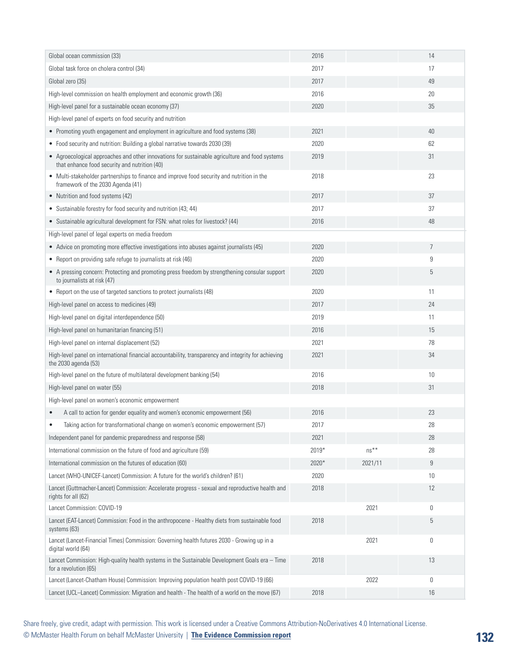| Global ocean commission (33)                                                                                                                    | 2016  |         | 14              |
|-------------------------------------------------------------------------------------------------------------------------------------------------|-------|---------|-----------------|
| Global task force on cholera control (34)                                                                                                       | 2017  |         | 17              |
| Global zero (35)                                                                                                                                | 2017  |         | 49              |
| High-level commission on health employment and economic growth (36)                                                                             | 2016  |         | 20              |
| High-level panel for a sustainable ocean economy (37)                                                                                           | 2020  |         | 35              |
| High-level panel of experts on food security and nutrition                                                                                      |       |         |                 |
| • Promoting youth engagement and employment in agriculture and food systems (38)                                                                | 2021  |         | 40              |
| • Food security and nutrition: Building a global narrative towards 2030 (39)                                                                    | 2020  |         | 62              |
| • Agroecological approaches and other innovations for sustainable agriculture and food systems<br>that enhance food security and nutrition (40) | 2019  |         | 31              |
| • Multi-stakeholder partnerships to finance and improve food security and nutrition in the<br>framework of the 2030 Agenda (41)                 | 2018  |         | 23              |
| • Nutrition and food systems (42)                                                                                                               | 2017  |         | 37              |
| • Sustainable forestry for food security and nutrition (43; 44)                                                                                 | 2017  |         | 37              |
| • Sustainable agricultural development for FSN: what roles for livestock? (44)                                                                  | 2016  |         | 48              |
| High-level panel of legal experts on media freedom                                                                                              |       |         |                 |
| • Advice on promoting more effective investigations into abuses against journalists (45)                                                        | 2020  |         | $\overline{7}$  |
| • Report on providing safe refuge to journalists at risk (46)                                                                                   | 2020  |         | 9               |
| • A pressing concern: Protecting and promoting press freedom by strengthening consular support<br>to journalists at risk (47)                   | 2020  |         | 5               |
| • Report on the use of targeted sanctions to protect journalists (48)                                                                           | 2020  |         | 11              |
| High-level panel on access to medicines (49)                                                                                                    | 2017  |         | 24              |
| High-level panel on digital interdependence (50)                                                                                                | 2019  |         | 11              |
| High-level panel on humanitarian financing (51)                                                                                                 | 2016  |         | 15              |
| High-level panel on internal displacement (52)                                                                                                  | 2021  |         | 78              |
| High-level panel on international financial accountability, transparency and integrity for achieving<br>the 2030 agenda (53)                    | 2021  |         | 34              |
| High-level panel on the future of multilateral development banking (54)                                                                         | 2016  |         | 10              |
| High-level panel on water (55)                                                                                                                  | 2018  |         | 31              |
| High-level panel on women's economic empowerment                                                                                                |       |         |                 |
| A call to action for gender equality and women's economic empowerment (56)                                                                      | 2016  |         | 23              |
| Taking action for transformational change on women's economic empowerment (57)                                                                  | 2017  |         | 28              |
| Independent panel for pandemic preparedness and response (58)                                                                                   | 2021  |         | 28              |
| International commission on the future of food and agriculture (59)                                                                             | 2019* | $ns***$ | 28              |
| International commission on the futures of education (60)                                                                                       | 2020* | 2021/11 | 9               |
| Lancet (WHO-UNICEF-Lancet) Commission: A future for the world's children? (61)                                                                  | 2020  |         | 10 <sup>°</sup> |
| Lancet (Guttmacher-Lancet) Commission: Accelerate progress - sexual and reproductive health and<br>rights for all (62)                          | 2018  |         | 12              |
| Lancet Commission: COVID-19                                                                                                                     |       | 2021    | 0               |
| Lancet (EAT-Lancet) Commission: Food in the anthropocene - Healthy diets from sustainable food<br>systems (63)                                  | 2018  |         | 5               |
| Lancet (Lancet-Financial Times) Commission: Governing health futures 2030 - Growing up in a<br>digital world (64)                               |       | 2021    | $\mathbb O$     |
| Lancet Commission: High-quality health systems in the Sustainable Development Goals era - Time<br>for a revolution (65)                         | 2018  |         | 13              |
| Lancet (Lancet-Chatham House) Commission: Improving population health post COVID-19 (66)                                                        |       | 2022    | 0               |
| Lancet (UCL-Lancet) Commission: Migration and health - The health of a world on the move (67)                                                   | 2018  |         | 16              |

Share freely, give credit, adapt with permission. This work is licensed under a Creative Commons Attribution-NoDerivatives 4.0 International License.

© McMaster Health Forum on behalf McMaster University | **[The Evidence Commission report](https://www.mcmasterforum.org/networks/evidence-commission/report/english)**